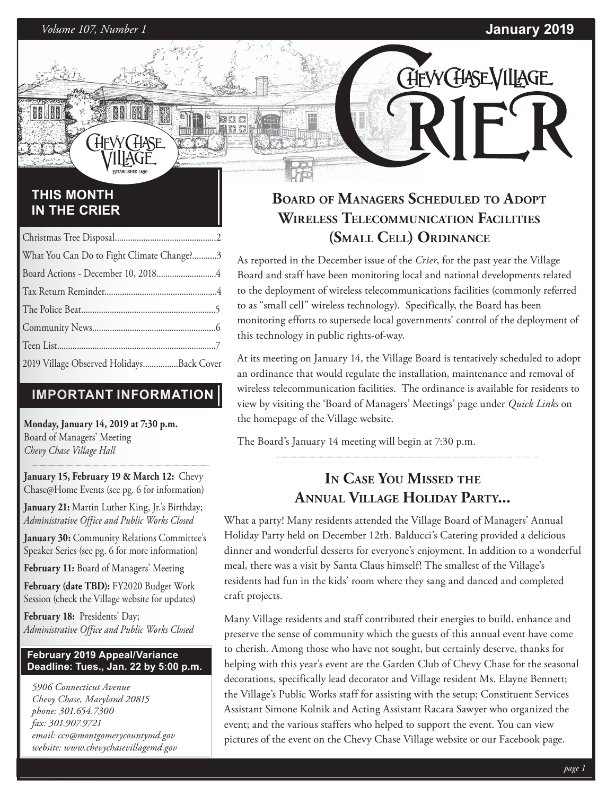CHEVYCHASEVILLAGE

### **THIS MONTH IN THE CRIER**

| What You Can Do to Fight Climate Change?3 |  |
|-------------------------------------------|--|
|                                           |  |
|                                           |  |
|                                           |  |
|                                           |  |
|                                           |  |
| 2019 Village Observed HolidaysBack Cover  |  |

### **IMPORTANT INFORMATION**

**Monday, January 14, 2019 at 7:30 p.m.**  Board of Managers' Meeting *Chevy Chase Village Hall*

**January 15, February 19 & March 12:** Chevy Chase@Home Events (see pg. 6 for information)

**January 21:** Martin Luther King, Jr.'s Birthday; *Administrative Office and Public Works Closed*

**January 30:** Community Relations Committee's Speaker Series (see pg. 6 for more information)

**February 11:** Board of Managers' Meeting

**February (date TBD):** FY2020 Budget Work Session (check the Village website for updates)

**February 18:** Presidents' Day; *Administrative Office and Public Works Closed*

### **February 2019 Appeal/Variance Deadline: Tues., Jan. 22 by 5:00 p.m.**

*5906 Connecticut Avenue Chevy Chase, Maryland 20815 phone: 301.654.7300 fax: 301.907.9721 email: ccv@montgomerycountymd.gov website: www.chevychasevillagemd.gov*

## **BOARD OF MANAGERS SCHEDULED TO ADOPT WIRELESS TELECOMMUNICATION FACILITIES (SMALL CELL) ORDINANCE**

As reported in the December issue of the *Crier*, for the past year the Village Board and staff have been monitoring local and national developments related to the deployment of wireless telecommunications facilities (commonly referred to as "small cell" wireless technology). Specifically, the Board has been monitoring efforts to supersede local governments' control of the deployment of this technology in public rights-of-way.

At its meeting on January 14, the Village Board is tentatively scheduled to adopt an ordinance that would regulate the installation, maintenance and removal of wireless telecommunication facilities. The ordinance is available for residents to view by visiting the 'Board of Managers' Meetings' page under *Quick Links* on the homepage of the Village website.

The Board's January 14 meeting will begin at 7:30 p.m.

## **IN CASE YOU MISSED THE ANNUAL VILLAGE HOLIDAY PARTY...**

What a party! Many residents attended the Village Board of Managers' Annual Holiday Party held on December 12th. Balducci's Catering provided a delicious dinner and wonderful desserts for everyone's enjoyment. In addition to a wonderful meal, there was a visit by Santa Claus himself! The smallest of the Village's residents had fun in the kids' room where they sang and danced and completed craft projects.

Many Village residents and staff contributed their energies to build, enhance and preserve the sense of community which the guests of this annual event have come to cherish. Among those who have not sought, but certainly deserve, thanks for helping with this year's event are the Garden Club of Chevy Chase for the seasonal decorations, specifically lead decorator and Village resident Ms. Elayne Bennett; the Village's Public Works staff for assisting with the setup; Constituent Services Assistant Simone Kolnik and Acting Assistant Racara Sawyer who organized the event; and the various staffers who helped to support the event. You can view pictures of the event on the Chevy Chase Village website or our Facebook page.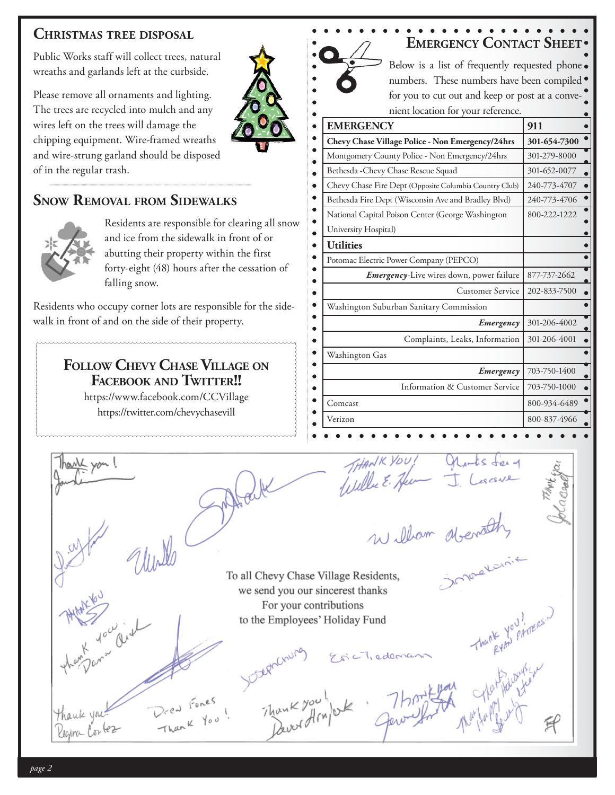### **CHRISTMAS TREE DISPOSAL**

Public Works staff will collect trees, natural wreaths and garlands left at the curbside.

Please remove all ornaments and lighting. The trees are recycled into mulch and any wires left on the trees will damage the chipping equipment. Wire-framed wreaths and wire-strung garland should be disposed of in the regular trash.

### **SNOW REMOVAL FROM SIDEWALKS**



Residents are responsible for clearing all snow and ice from the sidewalk in front of or abutting their property within the first forty-eight (48) hours after the cessation of falling snow.

Residents who occupy corner lots are responsible for the sidewalk in front of and on the side of their property.

### **FOLLOW CHEVY CHASE VILLAGE ON FACEBOOK AND TWITTER!!**

https://www.facebook.com/CCVillage https://twitter.com/chevychasevill

yon!

| Below is a list of frequently requested phone .        |              |  |  |  |  |
|--------------------------------------------------------|--------------|--|--|--|--|
| numbers. These numbers have been compiled •            |              |  |  |  |  |
| for you to cut out and keep or post at a conve-        |              |  |  |  |  |
| nient location for your reference.                     |              |  |  |  |  |
| <b>EMERGENCY</b>                                       | 911          |  |  |  |  |
| Chevy Chase Village Police - Non Emergency/24hrs       | 301-654-7300 |  |  |  |  |
| Montgomery County Police - Non Emergency/24hrs         | 301-279-8000 |  |  |  |  |
| Bethesda - Chevy Chase Rescue Squad                    | 301-652-0077 |  |  |  |  |
| Chevy Chase Fire Dept (Opposite Columbia Country Club) | 240-773-4707 |  |  |  |  |
| Bethesda Fire Dept (Wisconsin Ave and Bradley Blvd)    | 240-773-4706 |  |  |  |  |
| National Capital Poison Center (George Washington      | 800-222-1222 |  |  |  |  |
| University Hospital)                                   |              |  |  |  |  |
| <b>Utilities</b>                                       |              |  |  |  |  |
| Potomac Electric Power Company (PEPCO)                 |              |  |  |  |  |
| Emergency-Live wires down, power failure               | 877-737-2662 |  |  |  |  |
| <b>Customer Service</b>                                | 202-833-7500 |  |  |  |  |
| Washington Suburban Sanitary Commission                |              |  |  |  |  |
| Emergency                                              | 301-206-4002 |  |  |  |  |
| Complaints, Leaks, Information                         | 301-206-4001 |  |  |  |  |
| Washington Gas                                         |              |  |  |  |  |
| Emergency                                              | 703-750-1400 |  |  |  |  |
| Information & Customer Service                         | 703-750-1000 |  |  |  |  |
| Comcast                                                | 800-934-6489 |  |  |  |  |
| Verizon                                                | 800-837-4966 |  |  |  |  |

william dients

THANK YOU!

Trederic

To all Chevy Chase Village Residents, we send you our sincerest thanks For your contributions to the Employees' Holiday Fund

*page 2*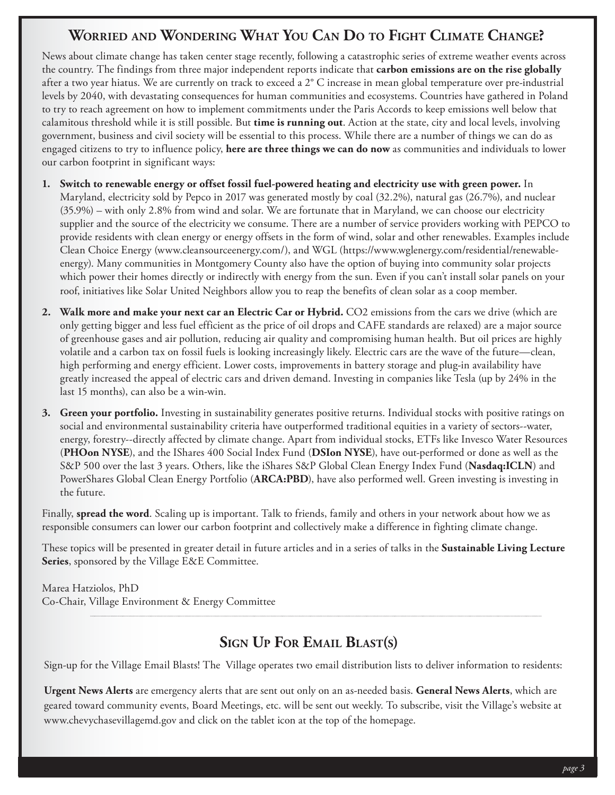## **WORRIED AND WONDERING WHAT YOU CAN DO TO FIGHT CLIMATE CHANGE?**

News about climate change has taken center stage recently, following a catastrophic series of extreme weather events across the country. The findings from three major independent reports indicate that **carbon emissions are on the rise globally** after a two year hiatus. We are currently on track to exceed a 2° C increase in mean global temperature over pre-industrial levels by 2040, with devastating consequences for human communities and ecosystems. Countries have gathered in Poland to try to reach agreement on how to implement commitments under the Paris Accords to keep emissions well below that calamitous threshold while it is still possible. But **time is running out**. Action at the state, city and local levels, involving government, business and civil society will be essential to this process. While there are a number of things we can do as engaged citizens to try to influence policy, **here are three things we can do now** as communities and individuals to lower our carbon footprint in significant ways:

- **1. Switch to renewable energy or offset fossil fuel-powered heating and electricity use with green power.** In Maryland, electricity sold by Pepco in 2017 was generated mostly by coal (32.2%), natural gas (26.7%), and nuclear (35.9%) – with only 2.8% from wind and solar. We are fortunate that in Maryland, we can choose our electricity supplier and the source of the electricity we consume. There are a number of service providers working with PEPCO to provide residents with clean energy or energy offsets in the form of wind, solar and other renewables. Examples include Clean Choice Energy (www.cleansourceenergy.com/), and WGL (https://www.wglenergy.com/residential/renewableenergy). Many communities in Montgomery County also have the option of buying into community solar projects which power their homes directly or indirectly with energy from the sun. Even if you can't install solar panels on your roof, initiatives like Solar United Neighbors allow you to reap the benefits of clean solar as a coop member.
- **2. Walk more and make your next car an Electric Car or Hybrid.** CO2 emissions from the cars we drive (which are only getting bigger and less fuel efficient as the price of oil drops and CAFE standards are relaxed) are a major source of greenhouse gases and air pollution, reducing air quality and compromising human health. But oil prices are highly volatile and a carbon tax on fossil fuels is looking increasingly likely. Electric cars are the wave of the future—clean, high performing and energy efficient. Lower costs, improvements in battery storage and plug-in availability have greatly increased the appeal of electric cars and driven demand. Investing in companies like Tesla (up by 24% in the last 15 months), can also be a win-win.
- **3. Green your portfolio.** Investing in sustainability generates positive returns. Individual stocks with positive ratings on social and environmental sustainability criteria have outperformed traditional equities in a variety of sectors--water, energy, forestry--directly affected by climate change. Apart from individual stocks, ETFs like Invesco Water Resources (**PHOon NYSE**), and the IShares 400 Social Index Fund (**DSIon NYSE**), have out-performed or done as well as the S&P 500 over the last 3 years. Others, like the iShares S&P Global Clean Energy Index Fund (**Nasdaq:ICLN**) and PowerShares Global Clean Energy Portfolio (**ARCA:PBD**), have also performed well. Green investing is investing in the future.

Finally, **spread the word**. Scaling up is important. Talk to friends, family and others in your network about how we as responsible consumers can lower our carbon footprint and collectively make a difference in fighting climate change.

These topics will be presented in greater detail in future articles and in a series of talks in the **Sustainable Living Lecture Series**, sponsored by the Village E&E Committee.

Marea Hatziolos, PhD Co-Chair, Village Environment & Energy Committee

## **SIGN UP FOR EMAIL BLAST(S)**

Sign-up for the Village Email Blasts! The Village operates two email distribution lists to deliver information to residents:

**Urgent News Alerts** are emergency alerts that are sent out only on an as-needed basis. **General News Alerts**, which are geared toward community events, Board Meetings, etc. will be sent out weekly. To subscribe, visit the Village's website at www.chevychasevillagemd.gov and click on the tablet icon at the top of the homepage.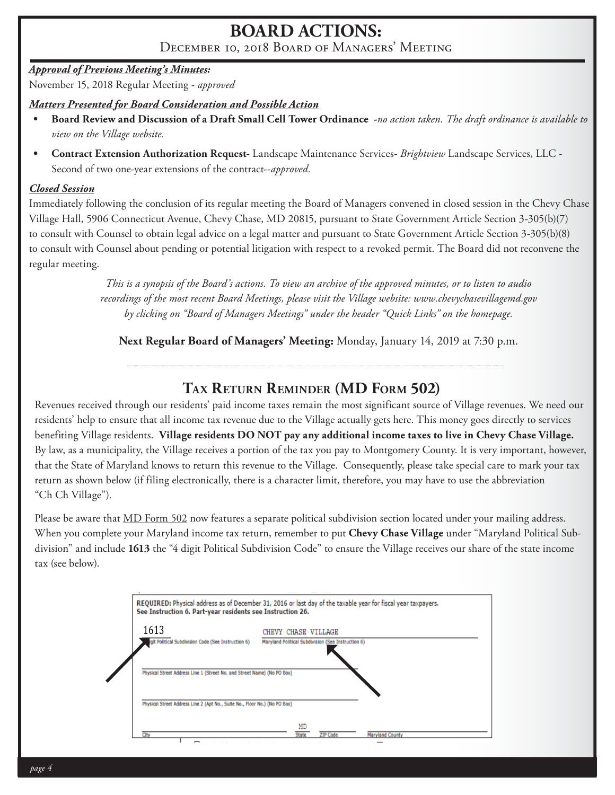## **BOARD ACTIONS:**

December 10, 2018 Board of Managers' Meeting

### *Approval of Previous Meeting's Minutes:*

November 15, 2018 Regular Meeting - *approved*

### *Matters Presented for Board Consideration and Possible Action*

- **Board Review and Discussion of a Draft Small Cell Tower Ordinance -***no action taken. The draft ordinance is available to view on the Village website.*
- **Contract Extension Authorization Request-** Landscape Maintenance Services- *Brightview* Landscape Services, LLC Second of two one-year extensions of the contract--*approved.*

### *Closed Session*

Immediately following the conclusion of its regular meeting the Board of Managers convened in closed session in the Chevy Chase Village Hall, 5906 Connecticut Avenue, Chevy Chase, MD 20815, pursuant to State Government Article Section 3-305(b)(7) to consult with Counsel to obtain legal advice on a legal matter and pursuant to State Government Article Section 3-305(b)(8) to consult with Counsel about pending or potential litigation with respect to a revoked permit. The Board did not reconvene the regular meeting.

> *This is a synopsis of the Board's actions. To view an archive of the approved minutes, or to listen to audio recordings of the most recent Board Meetings, please visit the Village website: www.chevychasevillagemd.gov by clicking on "Board of Managers Meetings" under the header "Quick Links" on the homepage.*

**Next Regular Board of Managers' Meeting:** Monday, January 14, 2019 at 7:30 p.m.

## **TAX RETURN REMINDER (MD FORM 502)**

Revenues received through our residents' paid income taxes remain the most significant source of Village revenues. We need our residents' help to ensure that all income tax revenue due to the Village actually gets here. This money goes directly to services benefiting Village residents. **Village residents DO NOT pay any additional income taxes to live in Chevy Chase Village.**  By law, as a municipality, the Village receives a portion of the tax you pay to Montgomery County. It is very important, however, that the State of Maryland knows to return this revenue to the Village. Consequently, please take special care to mark your tax return as shown below (if filing electronically, there is a character limit, therefore, you may have to use the abbreviation "Ch Ch Village").

Please be aware that MD Form 502 now features a separate political subdivision section located under your mailing address. When you complete your Maryland income tax return, remember to put **Chevy Chase Village** under "Maryland Political Subdivision" and include **1613** the "4 digit Political Subdivision Code" to ensure the Village receives our share of the state income tax (see below).

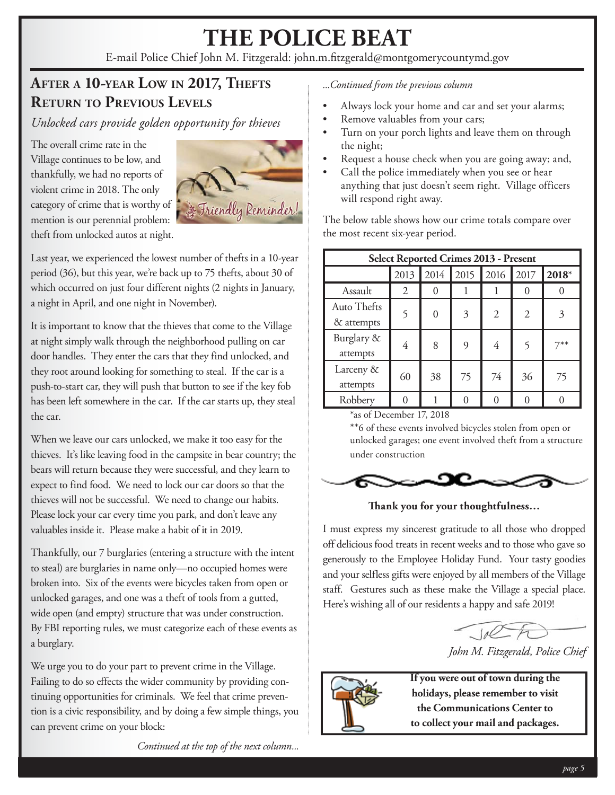# **THE POLICE BEAT**

E-mail Police Chief John M. Fitzgerald: john.m.fitzgerald@montgomerycountymd.gov

## **AFTER A 10-YEAR LOW IN 2017, THEFTS RETURN TO PREVIOUS LEVELS**

*Unlocked cars provide golden opportunity for thieves*

The overall crime rate in the Village continues to be low, and thankfully, we had no reports of violent crime in 2018. The only category of crime that is worthy of mention is our perennial problem: theft from unlocked autos at night.



Last year, we experienced the lowest number of thefts in a 10-year period (36), but this year, we're back up to 75 thefts, about 30 of which occurred on just four different nights (2 nights in January, a night in April, and one night in November).

It is important to know that the thieves that come to the Village at night simply walk through the neighborhood pulling on car door handles. They enter the cars that they find unlocked, and they root around looking for something to steal. If the car is a push-to-start car, they will push that button to see if the key fob has been left somewhere in the car. If the car starts up, they steal the car.

When we leave our cars unlocked, we make it too easy for the thieves. It's like leaving food in the campsite in bear country; the bears will return because they were successful, and they learn to expect to find food. We need to lock our car doors so that the thieves will not be successful. We need to change our habits. Please lock your car every time you park, and don't leave any valuables inside it. Please make a habit of it in 2019.

Thankfully, our 7 burglaries (entering a structure with the intent to steal) are burglaries in name only—no occupied homes were broken into. Six of the events were bicycles taken from open or unlocked garages, and one was a theft of tools from a gutted, wide open (and empty) structure that was under construction. By FBI reporting rules, we must categorize each of these events as a burglary.

We urge you to do your part to prevent crime in the Village. Failing to do so effects the wider community by providing continuing opportunities for criminals. We feel that crime prevention is a civic responsibility, and by doing a few simple things, you can prevent crime on your block:

*Continued at the top of the next column...*

*...Continued from the previous column*

- Always lock your home and car and set your alarms;
- Remove valuables from your cars;
- Turn on your porch lights and leave them on through the night;
- Request a house check when you are going away; and,
- Call the police immediately when you see or hear anything that just doesn't seem right. Village officers will respond right away.

The below table shows how our crime totals compare over the most recent six-year period.

| <b>Select Reported Crimes 2013 - Present</b> |      |          |      |                |      |       |  |  |
|----------------------------------------------|------|----------|------|----------------|------|-------|--|--|
|                                              | 2013 | 2014     | 2015 | 2016           | 2017 | 2018* |  |  |
| Assault                                      | 2    |          |      |                |      |       |  |  |
| <b>Auto Thefts</b><br>& attempts             | 5    | $\Omega$ | 3    | $\mathfrak{2}$ | 2    |       |  |  |
| Burglary &<br>attempts                       | 4    | 8        | 9    | 4              | 5    | 7**   |  |  |
| Larceny &<br>attempts                        | 60   | 38       | 75   | 74             | 36   | 75    |  |  |
| Robbery                                      |      |          |      |                |      |       |  |  |

\*as of December 17, 2018

\*\*6 of these events involved bicycles stolen from open or unlocked garages; one event involved theft from a structure under construction under



**Th ank you for your thoughtfulness…**

I must express my sincerest gratitude to all those who dropped off delicious food treats in recent weeks and to those who gave so generously to the Employee Holiday Fund. Your tasty goodies and your selfless gifts were enjoyed by all members of the Village staff. Gestures such as these make the Village a special place. Here's wishing all of our residents a happy and safe 2019!



*John M. Fitzgerald, Police Chief*



**If you were out of town during the holidays, please remember to visit the Communications Center to to collect your mail and packages.**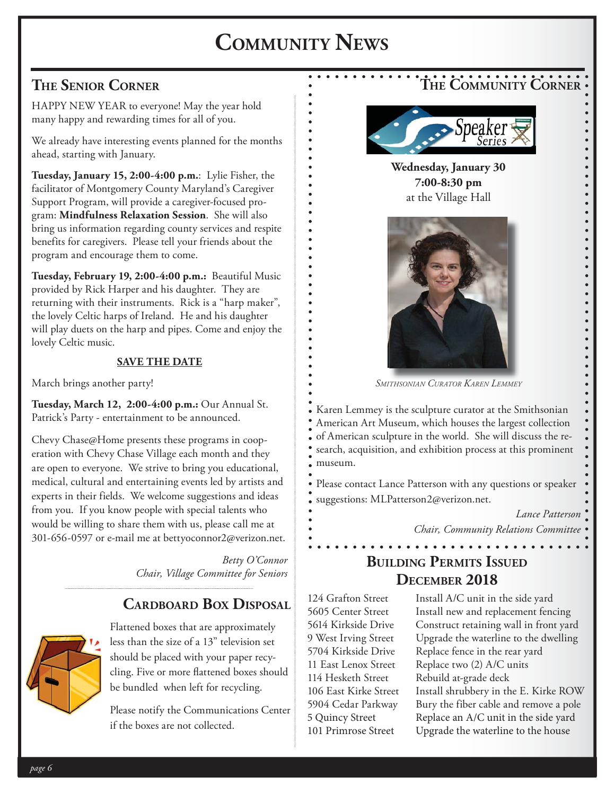# **COMMUNITY NEWS**

## **THE SENIOR CORNER**

HAPPY NEW YEAR to everyone! May the year hold many happy and rewarding times for all of you.

We already have interesting events planned for the months ahead, starting with January.

**Tuesday, January 15, 2:00-4:00 p.m.**: Lylie Fisher, the facilitator of Montgomery County Maryland's Caregiver Support Program, will provide a caregiver-focused program: **Mindfulness Relaxation Session**. She will also bring us information regarding county services and respite benefits for caregivers. Please tell your friends about the program and encourage them to come.

**Tuesday, February 19, 2:00-4:00 p.m.:** Beautiful Music provided by Rick Harper and his daughter. They are returning with their instruments. Rick is a "harp maker", the lovely Celtic harps of Ireland. He and his daughter will play duets on the harp and pipes. Come and enjoy the lovely Celtic music.

### **SAVE THE DATE**

March brings another party!

**Tuesday, March 12, 2:00-4:00 p.m.:** Our Annual St. Patrick's Party - entertainment to be announced.

Chevy Chase@Home presents these programs in cooperation with Chevy Chase Village each month and they are open to everyone. We strive to bring you educational, medical, cultural and entertaining events led by artists and experts in their fields. We welcome suggestions and ideas from you. If you know people with special talents who would be willing to share them with us, please call me at 301-656-0597 or e-mail me at bettyoconnor2@verizon.net.

> *Betty O'Connor Chair, Village Committee for Seniors*

### **CARDBOARD BOX DISPOSAL**



Flattened boxes that are approximately less than the size of a 13" television set should be placed with your paper recycling. Five or more flattened boxes should be bundled when left for recycling.

Please notify the Communications Center if the boxes are not collected.





**Wednesday, January 30 7:00-8:30 pm** at the Village Hall



*SMITHSONIAN CURATOR KAREN LEMMEY*

Karen Lemmey is the sculpture curator at the Smithsonian American Art Museum, which houses the largest collection of American sculpture in the world. She will discuss the research, acquisition, and exhibition process at this prominent museum.

Please contact Lance Patterson with any questions or speaker suggestions: MLPatterson2@verizon.net.

> *Lance Patterson Chair, Community Relations Committee*

## **BUILDING PERMITS ISSUED DECEMBER 2018**

. . . . . . . . . . . . . . .

114 Hesketh Street Rebuild at-grade deck

124 Grafton Street Install A/C unit in the side yard 5605 Center Street Install new and replacement fencing 5614 Kirkside Drive Construct retaining wall in front yard 9 West Irving Street Upgrade the waterline to the dwelling 5704 Kirkside Drive Replace fence in the rear yard 11 East Lenox Street Replace two (2) A/C units 106 East Kirke Street Install shrubbery in the E. Kirke ROW 5904 Cedar Parkway Bury the fiber cable and remove a pole 5 Quincy Street Replace an A/C unit in the side yard 101 Primrose Street Upgrade the waterline to the house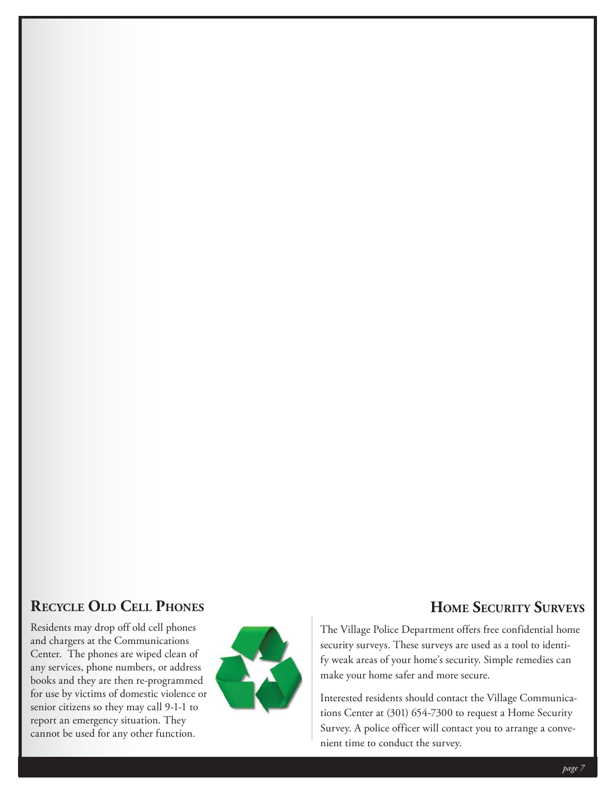## **RECYCLE OLD CELL PHONES**

Residents may drop off old cell phones and chargers at the Communications Center. The phones are wiped clean of any services, phone numbers, or address books and they are then re-programmed for use by victims of domestic violence or senior citizens so they may call 9-1-1 to report an emergency situation. They cannot be used for any other function.



### **HOME SECURITY SURVEYS**

The Village Police Department offers free confidential home security surveys. These surveys are used as a tool to identify weak areas of your home's security. Simple remedies can make your home safer and more secure.

Interested residents should contact the Village Communications Center at (301) 654-7300 to request a Home Security Survey. A police officer will contact you to arrange a convenient time to conduct the survey.